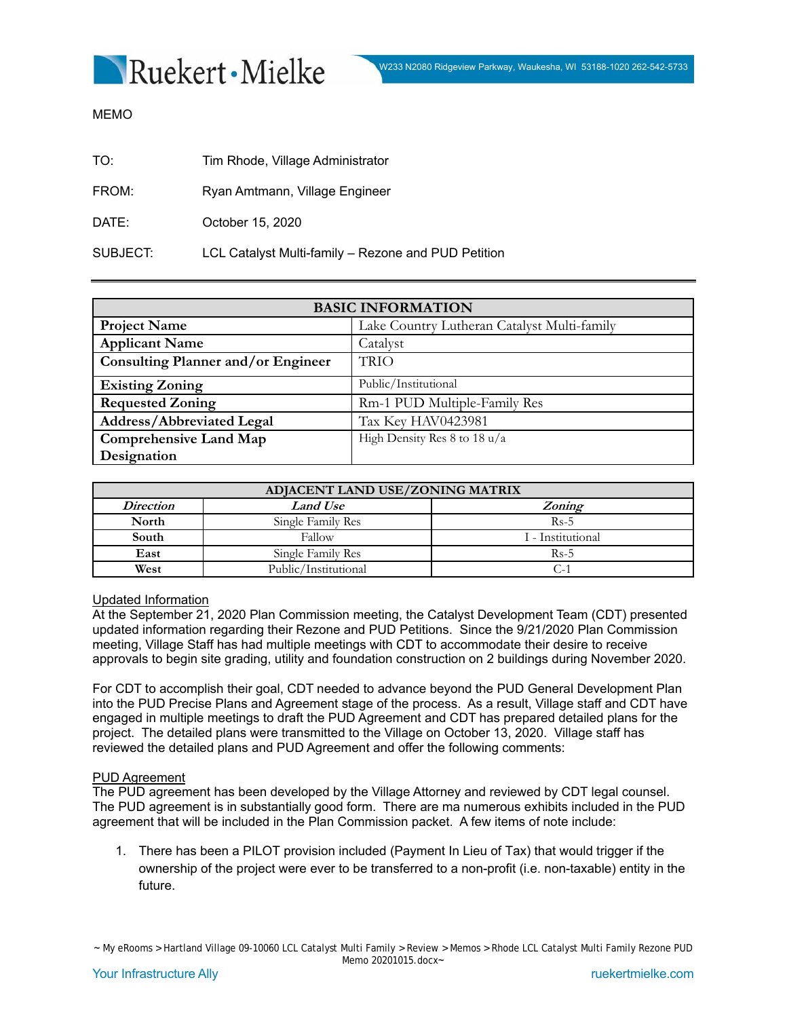

MEMO

| TO:      | Tim Rhode, Village Administrator                    |
|----------|-----------------------------------------------------|
| FROM:    | Ryan Amtmann, Village Engineer                      |
| DATE:    | October 15, 2020                                    |
| SUBJECT: | LCL Catalyst Multi-family - Rezone and PUD Petition |

| <b>BASIC INFORMATION</b>                  |                                             |  |  |
|-------------------------------------------|---------------------------------------------|--|--|
| <b>Project Name</b>                       | Lake Country Lutheran Catalyst Multi-family |  |  |
| <b>Applicant Name</b>                     | Catalyst                                    |  |  |
| <b>Consulting Planner and/or Engineer</b> | <b>TRIO</b>                                 |  |  |
| <b>Existing Zoning</b>                    | Public/Institutional                        |  |  |
| <b>Requested Zoning</b>                   | Rm-1 PUD Multiple-Family Res                |  |  |
| <b>Address/Abbreviated Legal</b>          | Tax Key HAV0423981                          |  |  |
| <b>Comprehensive Land Map</b>             | High Density Res 8 to 18 $u/a$              |  |  |
| Designation                               |                                             |  |  |

| ADJACENT LAND USE/ZONING MATRIX |                      |                   |  |
|---------------------------------|----------------------|-------------------|--|
| <i>Direction</i>                | <b>Land Use</b>      | Zoning            |  |
| North                           | Single Family Res    | $Rs-5$            |  |
| South                           | Fallow               | I - Institutional |  |
| East                            | Single Family Res    | $Rs-5$            |  |
| West                            | Public/Institutional | $C^{-4}$          |  |

### Updated Information

At the September 21, 2020 Plan Commission meeting, the Catalyst Development Team (CDT) presented updated information regarding their Rezone and PUD Petitions. Since the 9/21/2020 Plan Commission meeting, Village Staff has had multiple meetings with CDT to accommodate their desire to receive approvals to begin site grading, utility and foundation construction on 2 buildings during November 2020.

For CDT to accomplish their goal, CDT needed to advance beyond the PUD General Development Plan into the PUD Precise Plans and Agreement stage of the process. As a result, Village staff and CDT have engaged in multiple meetings to draft the PUD Agreement and CDT has prepared detailed plans for the project. The detailed plans were transmitted to the Village on October 13, 2020. Village staff has reviewed the detailed plans and PUD Agreement and offer the following comments:

### PUD Agreement

The PUD agreement has been developed by the Village Attorney and reviewed by CDT legal counsel. The PUD agreement is in substantially good form. There are ma numerous exhibits included in the PUD agreement that will be included in the Plan Commission packet. A few items of note include:

1. There has been a PILOT provision included (Payment In Lieu of Tax) that would trigger if the ownership of the project were ever to be transferred to a non-profit (i.e. non-taxable) entity in the future.

~ My eRooms > Hartland Village 09-10060 LCL Catalyst Multi Family > Review > Memos > Rhode LCL Catalyst Multi Family Rezone PUD Memo 20201015.docx~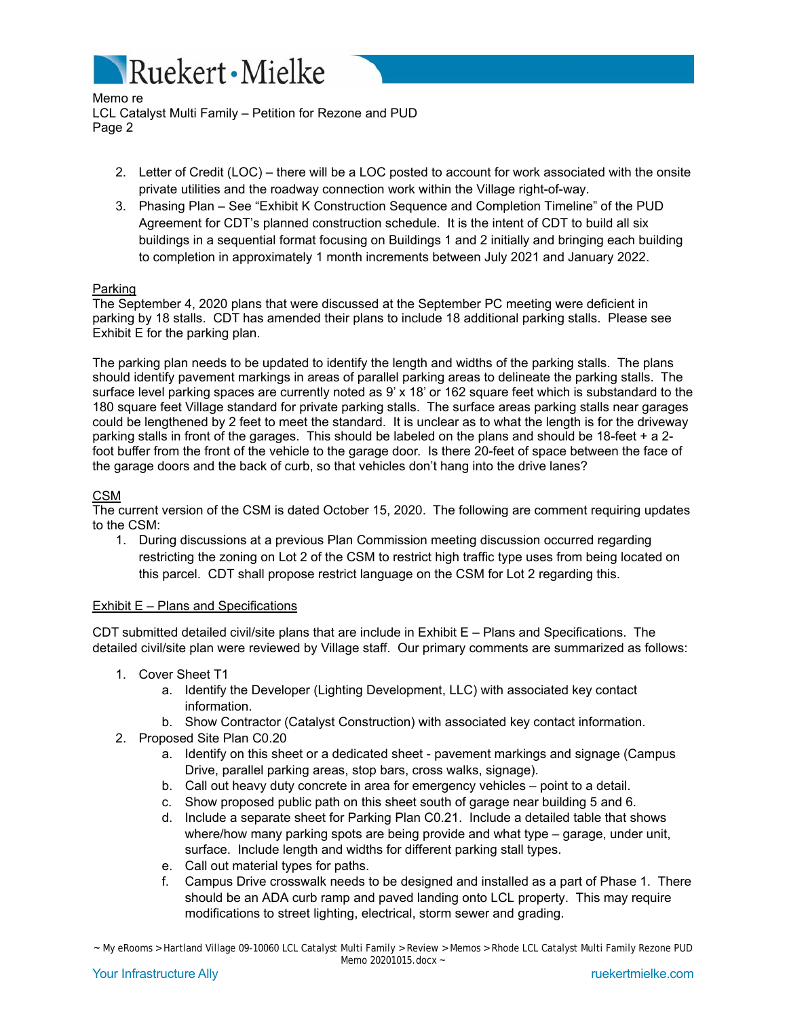

Memo re LCL Catalyst Multi Family – Petition for Rezone and PUD Page 2

- 2. Letter of Credit (LOC) there will be a LOC posted to account for work associated with the onsite private utilities and the roadway connection work within the Village right-of-way.
- 3. Phasing Plan See "Exhibit K Construction Sequence and Completion Timeline" of the PUD Agreement for CDT's planned construction schedule. It is the intent of CDT to build all six buildings in a sequential format focusing on Buildings 1 and 2 initially and bringing each building to completion in approximately 1 month increments between July 2021 and January 2022.

# Parking

The September 4, 2020 plans that were discussed at the September PC meeting were deficient in parking by 18 stalls. CDT has amended their plans to include 18 additional parking stalls. Please see Exhibit E for the parking plan.

The parking plan needs to be updated to identify the length and widths of the parking stalls. The plans should identify pavement markings in areas of parallel parking areas to delineate the parking stalls. The surface level parking spaces are currently noted as 9' x 18' or 162 square feet which is substandard to the 180 square feet Village standard for private parking stalls. The surface areas parking stalls near garages could be lengthened by 2 feet to meet the standard. It is unclear as to what the length is for the driveway parking stalls in front of the garages. This should be labeled on the plans and should be 18-feet + a 2 foot buffer from the front of the vehicle to the garage door. Is there 20-feet of space between the face of the garage doors and the back of curb, so that vehicles don't hang into the drive lanes?

# CSM

The current version of the CSM is dated October 15, 2020. The following are comment requiring updates to the CSM:

1. During discussions at a previous Plan Commission meeting discussion occurred regarding restricting the zoning on Lot 2 of the CSM to restrict high traffic type uses from being located on this parcel. CDT shall propose restrict language on the CSM for Lot 2 regarding this.

## Exhibit E – Plans and Specifications

CDT submitted detailed civil/site plans that are include in Exhibit E – Plans and Specifications. The detailed civil/site plan were reviewed by Village staff. Our primary comments are summarized as follows:

- 1. Cover Sheet T1
	- a. Identify the Developer (Lighting Development, LLC) with associated key contact information.
	- b. Show Contractor (Catalyst Construction) with associated key contact information.
- 2. Proposed Site Plan C0.20
	- a. Identify on this sheet or a dedicated sheet pavement markings and signage (Campus Drive, parallel parking areas, stop bars, cross walks, signage).
	- b. Call out heavy duty concrete in area for emergency vehicles point to a detail.
	- c. Show proposed public path on this sheet south of garage near building 5 and 6.
	- d. Include a separate sheet for Parking Plan C0.21. Include a detailed table that shows where/how many parking spots are being provide and what type – garage, under unit, surface. Include length and widths for different parking stall types.
	- e. Call out material types for paths.
	- f. Campus Drive crosswalk needs to be designed and installed as a part of Phase 1. There should be an ADA curb ramp and paved landing onto LCL property. This may require modifications to street lighting, electrical, storm sewer and grading.

~ My eRooms > Hartland Village 09-10060 LCL Catalyst Multi Family > Review > Memos > Rhode LCL Catalyst Multi Family Rezone PUD Memo 20201015.docx ~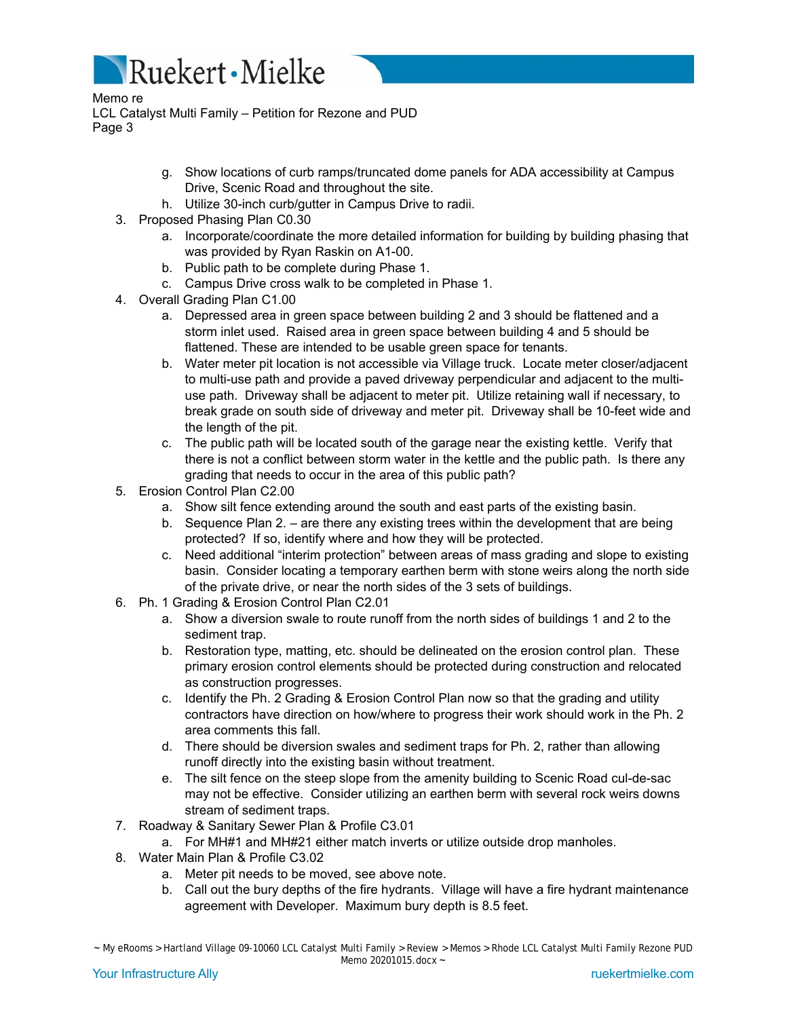

Memo re LCL Catalyst Multi Family – Petition for Rezone and PUD Page 3

- g. Show locations of curb ramps/truncated dome panels for ADA accessibility at Campus Drive, Scenic Road and throughout the site.
- h. Utilize 30-inch curb/gutter in Campus Drive to radii.
- 3. Proposed Phasing Plan C0.30
	- a. Incorporate/coordinate the more detailed information for building by building phasing that was provided by Ryan Raskin on A1-00.
	- b. Public path to be complete during Phase 1.
	- c. Campus Drive cross walk to be completed in Phase 1.
- 4. Overall Grading Plan C1.00
	- a. Depressed area in green space between building 2 and 3 should be flattened and a storm inlet used. Raised area in green space between building 4 and 5 should be flattened. These are intended to be usable green space for tenants.
	- b. Water meter pit location is not accessible via Village truck. Locate meter closer/adjacent to multi-use path and provide a paved driveway perpendicular and adjacent to the multiuse path. Driveway shall be adjacent to meter pit. Utilize retaining wall if necessary, to break grade on south side of driveway and meter pit. Driveway shall be 10-feet wide and the length of the pit.
	- c. The public path will be located south of the garage near the existing kettle. Verify that there is not a conflict between storm water in the kettle and the public path. Is there any grading that needs to occur in the area of this public path?
- 5. Erosion Control Plan C2.00
	- a. Show silt fence extending around the south and east parts of the existing basin.
	- b. Sequence Plan 2. are there any existing trees within the development that are being protected? If so, identify where and how they will be protected.
	- c. Need additional "interim protection" between areas of mass grading and slope to existing basin. Consider locating a temporary earthen berm with stone weirs along the north side of the private drive, or near the north sides of the 3 sets of buildings.
- 6. Ph. 1 Grading & Erosion Control Plan C2.01
	- a. Show a diversion swale to route runoff from the north sides of buildings 1 and 2 to the sediment trap.
	- b. Restoration type, matting, etc. should be delineated on the erosion control plan. These primary erosion control elements should be protected during construction and relocated as construction progresses.
	- c. Identify the Ph. 2 Grading & Erosion Control Plan now so that the grading and utility contractors have direction on how/where to progress their work should work in the Ph. 2 area comments this fall.
	- d. There should be diversion swales and sediment traps for Ph. 2, rather than allowing runoff directly into the existing basin without treatment.
	- e. The silt fence on the steep slope from the amenity building to Scenic Road cul-de-sac may not be effective. Consider utilizing an earthen berm with several rock weirs downs stream of sediment traps.
- 7. Roadway & Sanitary Sewer Plan & Profile C3.01
	- a. For MH#1 and MH#21 either match inverts or utilize outside drop manholes.
- 8. Water Main Plan & Profile C3.02
	- a. Meter pit needs to be moved, see above note.
	- b. Call out the bury depths of the fire hydrants. Village will have a fire hydrant maintenance agreement with Developer. Maximum bury depth is 8.5 feet.

<sup>~</sup> My eRooms > Hartland Village 09-10060 LCL Catalyst Multi Family > Review > Memos > Rhode LCL Catalyst Multi Family Rezone PUD Memo 20201015.docx ~